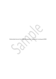Relationship between Knowledge Management, Organization Learning and HRM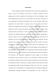## **Introduction**

In this competitive business environment where every business organization is trying to attract the customers of each other, it becomes essential for these organizations to remain competitive by innovating new ideas and thoughts, so that value added products and services can be provided to the customers. The motive of such organization in providing value added services to their customers, require their employees to be quite effective in creating value in all the products and services offered by the organization (Judy 2003, pp.1-12). The knowledge and the skills of the employees are quite crucial for the business organization to remain competitive in this complex business environment. As such, it is essential that the employees should be provided with sufficient training on all the new dimensions that the organization is eyeing to explore in the near future. In upgrading the knowledge and skills of the employees, the role of HR manager of the organization is quite important. The HR manager of the organization has to develop policies that are essential to motivate employees in contributing their maximum effort towards the achievement of the organizational objectives. Apart from the role of HR manager and the employees of the organization, it is quite essential that the organization should be flexible enough in adjusting itself to any type of changes as per the requirement of business environment. The learning of the organization regarding the major changes in the business environment is quite crucial for its success, as it will enable it to effectively process the important information which results into better interpretation of such information and ultimately provides a framework to respond effectively both inside and outside the organization (Smith, Araujo and Burgoyne 1999, pp.3). This essay is basically concerned with the identification of relationship between Knowledge Management, Organizational Learning and HRM of the organization. In order to explore the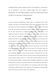relationship between all these important aspects of the organization, a case based on my real experience at work will be analyzed deeply. This will be helpful in identifying the role of knowledge management, importance of organizational learning and HRM in the achievement of organizational goal.

## **My Incident**

I have been working with AlRajhi Bank in Saudi Arabia over a long period of time. All the operations in the bank were performed manually without having any problem. But the recent advancement in the field of technology has necessitated certain kind of changes to be brought in the bank for the effective performance of all the functions. The increasing competition from the other major banks has compelled the AlRajhi bank to bring changes in the organization. Further, the customers of the bank are also expecting better and faster services which could only be possible by implementing latest technology in operation. The major problem that the bank is facing in bringing changes in the organization is the resistance from existing employees including me as well. The major reason behind resistance from my side including other major employees of the organization is that we all had a fear of job loss from such technological change by the management of the bank. The fear that I would not be able to perform effectively in the job has been the main reason for my resistance against the change as desired by management. In order to make such change to happen, the bank has made considerable effort such as; they have given assurance to employees that no one will loose jobs because of such change. They have also given assurance that all the employees will be given requisite training so that all of us could be able to perform effectively in our jobs. The training would be helpful in acquiring sufficient knowledge regarding the way in which all the functions of the bank can be performed effectively. The training process started after a certain period of time and it was quite helpful for me in enhancing my skills and knowledge. The training was helpful enough for all the employees of the organization in performing their function in the manner expected from them by the organization.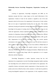# **Relationship between Knowledge Management, Organization Learning and HRM**

Learning of organization, Knowledge management and HRM are the important concepts that have a major impact on the overall effectiveness of the organization. Creation of value for the customer is regarded as one of the most important criteria for the success of an organization. In the process of value creation, there are two types of organizational learning that can take place. This includes exploratory learning and exploitative learning. Exploratory learning implies acquiring knowledge for the purpose of creating value for the customers which does not exist within the organization, whereas exploitative learning implies creating value for the customers by deepening existing knowledge. Both types of learning have different benefits and costs associated with them (KANG, MORRIS and SNELL 2007, pp.236- 256). Organizations do not learn by themselves, rather they provide requisite environment to the employees who in turn perform as per the laid down structure in order to achieve organizational objective. In case of my incident at AlRajhi bank, all the employees have been provided with requisite structure in order to perform effectively. In addition to that, with the changing environment, AlRajhi bank has also identified that it needs to bring change within the organization so as to compete effectively with the competitors.

Knowledge Management is another important concept that has vital importance for an organization to succeed. Knowledge management implies acquiring new knowledge that can be utilized for the overall benefit of the organization. The competitive business environment requires organizations to bring innovation in the product and services offered by them to their customers. It could only be possible by having knowledgeable employees in the organization. In this competitive scenario,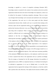knowledge is regarded as a source of competitive advantage (Nonanka 2007). Knowledge creation is essential for the creation of new products and services and the organization should also know the extent of knowledge of its employees, so that it can be utilized for the purpose of achieving competitive advantage. There are various ways through which knowledge can be increased and transferred to the overall good of the organization. One such way is to hire smart people and allow informal communication between them. Another such way is to provide them training on the necessary aspects that the organization think it to be essential for the employees to perform their functions effectively. In my case of AlRajhi bank, the bank also did the same thing with its employees. When it realizes that working on new technology would be a difficult task for its employees, it has decided to impart training to its employees so that they can effectively handle such technological change by enhancing their knowledge. An effective learning would ensure superior performance of the employee within the organization (Senge 1990). The HRM of the organization has an important role to play in the overall improvement of the employee's knowledge. It is the HR manager that has the responsibility to recruit people that have the potential perform effectively. The strategies of the HR manager should be in co ordination with the organizational objective. This would ensure maximum possibility of the attainment of organizational objective, as the employees would be most aware of what is expected from them in the organization and try to perform accordingly. Thus the strategy as formulated by the HR manager determines the possibility of organizational success. HRM is an important function as it facilitates the learning for an individual in organization. As in case of AlRajhi bank, it is the HR of the organization that has organized the training of all the employees, so that they could be able to perform their roles effectively. This implies that the function of HRM is quite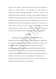essential for the creation of knowledge that ultimately helps the organization in achieving its desired objectives. The relationship that exists between the organizational learning, knowledge management and HRM is positive as the organization assesses the change that is essential as per the changing environment and the HRM of the organization facilitates the employees with requisite knowledge that is essential for them in effectively handling the changing business environment. The relationship between HRM and organizational learning has also been proved by various studies in the past. It has been assessed by such studies that the HRM facilitates relational archetypes that provide support to organizational learning in achieving continuous growth (KANG, MORRIS and SNELL 2007, pp. 236-256).

## **Conclusion**

Organizational learning, Knowledge management and HRM are the interrelated concepts as they all contribute towards the achievement of organizational goal. Organizations learn from the environment and adapt themselves quickly to such changing environment. This requires the HRM to frame policies that helps in knowledge creation within the organization and enables the employees to perform their functions in the most effective manner. The policies of the HRM should be in coordination with that of the organizational objective to attain the maximum possible benefits. From this discussion, it can be concluded that the all the function are interrelated to each other and are essential to be perform in a manner that helps in the attainment of the ultimate objective of the organization.